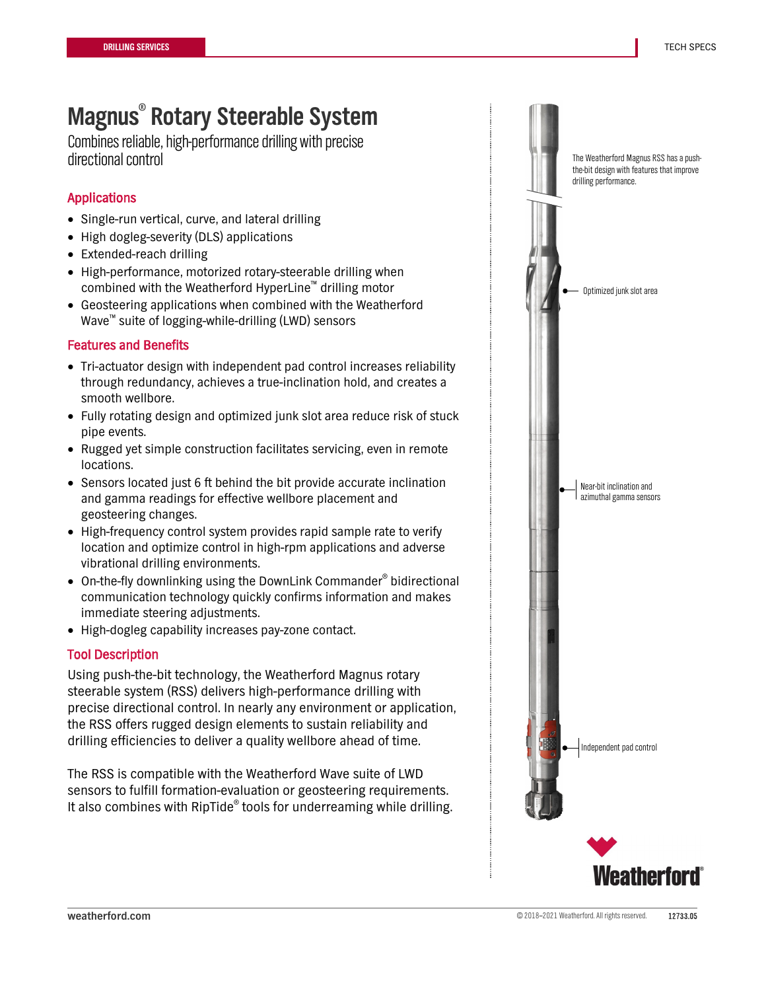Combines reliable, high-performance drilling with precise directional control

## Applications

- Single-run vertical, curve, and lateral drilling
- High dogleg-severity (DLS) applications
- Extended-reach drilling
- High-performance, motorized rotary-steerable drilling when combined with the Weatherford HyperLine™ drilling motor
- Geosteering applications when combined with the Weatherford Wave™ suite of logging-while-drilling (LWD) sensors

### Features and Benefits

- Tri-actuator design with independent pad control increases reliability through redundancy, achieves a true-inclination hold, and creates a smooth wellbore.
- Fully rotating design and optimized junk slot area reduce risk of stuck pipe events.
- Rugged yet simple construction facilitates servicing, even in remote locations.
- Sensors located just 6 ft behind the bit provide accurate inclination and gamma readings for effective wellbore placement and geosteering changes.
- High-frequency control system provides rapid sample rate to verify location and optimize control in high-rpm applications and adverse vibrational drilling environments.
- On-the-fly downlinking using the DownLink Commander<sup>®</sup> bidirectional communication technology quickly confirms information and makes immediate steering adjustments.
- High-dogleg capability increases pay-zone contact.

### Tool Description

Using push-the-bit technology, the Weatherford Magnus rotary steerable system (RSS) delivers high-performance drilling with precise directional control. In nearly any environment or application, the RSS offers rugged design elements to sustain reliability and drilling efficiencies to deliver a quality wellbore ahead of time.

The RSS is compatible with the Weatherford Wave suite of LWD sensors to fulfill formation-evaluation or geosteering requirements. It also combines with RipTide<sup>®</sup> tools for underreaming while drilling.

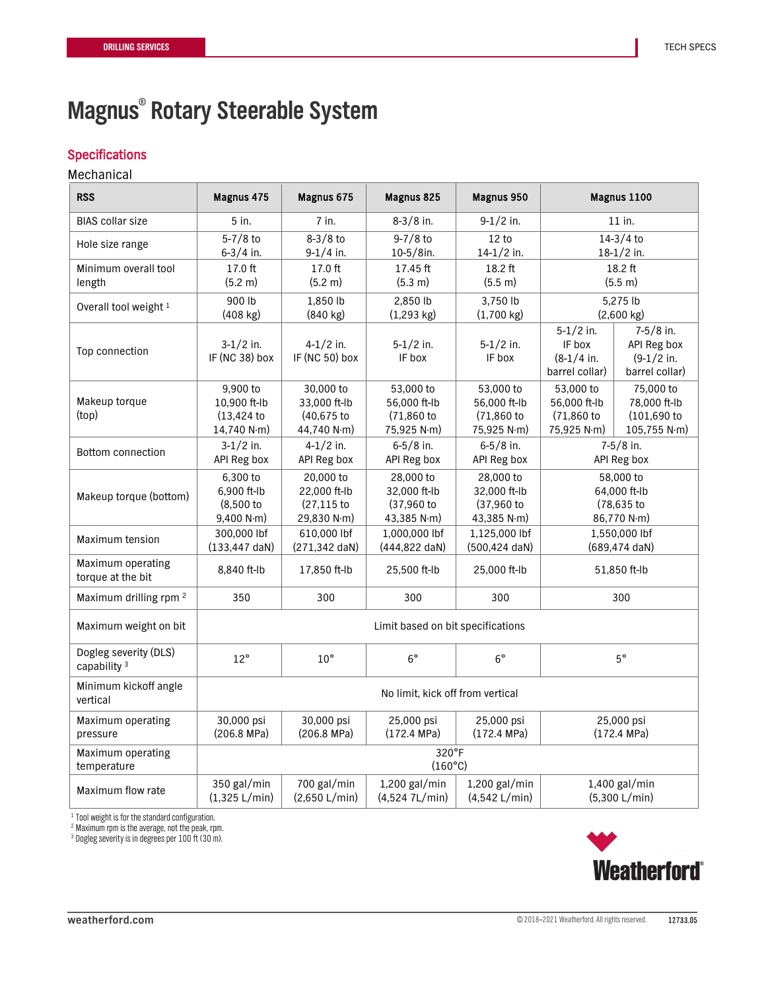## **Specifications**

## Mechanical

| <b>RSS</b>                                       | Magnus 475                                           | Magnus 675                                                     | Magnus 825                                             | Magnus 950                                             | Magnus 1100                                              |                                                               |
|--------------------------------------------------|------------------------------------------------------|----------------------------------------------------------------|--------------------------------------------------------|--------------------------------------------------------|----------------------------------------------------------|---------------------------------------------------------------|
| <b>BIAS</b> collar size                          | 5 in.                                                | 7 in.                                                          | $8-3/8$ in.                                            | $9-1/2$ in.                                            | 11 in.                                                   |                                                               |
| Hole size range                                  | $5 - 7/8$ to                                         | $8-3/8$ to                                                     | $9 - 7/8$ to                                           | 12 to                                                  | $14-3/4$ to                                              |                                                               |
|                                                  | 6-3/4 in.                                            | 9-1/4 in.                                                      | 10-5/8in.                                              | 14-1/2 in.                                             | 18-1/2 in.                                               |                                                               |
| Minimum overall tool                             | 17.0 ft                                              | 17.0 ft                                                        | 17.45 ft                                               | 18.2 ft                                                | 18.2 ft                                                  |                                                               |
| length                                           | (5.2 m)                                              | (5.2 m)                                                        | (5.3 m)                                                | (5.5 m)                                                | (5.5 m)                                                  |                                                               |
| Overall tool weight 1                            | 900 lb                                               | 1,850 lb                                                       | 2.850 lb                                               | 3,750 lb                                               | 5,275 lb                                                 |                                                               |
|                                                  | $(408$ kg)                                           | $(840 \text{ kg})$                                             | $(1,293$ kg)                                           | $(1,700 \text{ kg})$                                   | $(2,600 \text{ kg})$                                     |                                                               |
| Top connection                                   | $3-1/2$ in.<br>IF (NC 38) box                        | $4 - 1/2$ in.<br>IF (NC 50) box                                | $5-1/2$ in.<br>IF box                                  | $5-1/2$ in.<br>IF box                                  | $5-1/2$ in.<br>IF box<br>$(8-1/4)$ in.<br>barrel collar) | $7-5/8$ in.<br>API Reg box<br>$(9-1/2)$ in.<br>barrel collar) |
| Makeup torque<br>(top)                           | 9,900 to<br>10,900 ft-lb<br>(13, 424)<br>14,740 N·m) | 30,000 to<br>33,000 ft-lb<br>(40,675 to<br>44,740 N $\cdot$ m) | 53,000 to<br>56,000 ft-lb<br>(71,860 to<br>75,925 N·m) | 53,000 to<br>56,000 ft-lb<br>(71,860 to<br>75,925 N·m) | 53,000 to<br>56,000 ft-lb<br>(71,860 to<br>75,925 N·m)   | 75,000 to<br>78,000 ft-lb<br>$(101, 690)$ to<br>105,755 N·m)  |
| Bottom connection                                | $3-1/2$ in.                                          | $4 - 1/2$ in.                                                  | $6 - 5/8$ in.                                          | $6 - 5/8$ in.                                          | 7-5/8 in.                                                |                                                               |
|                                                  | API Reg box                                          | API Reg box                                                    | API Reg box                                            | API Reg box                                            | API Reg box                                              |                                                               |
| Makeup torque (bottom)                           | 6,300 to                                             | 20,000 to                                                      | 28,000 to                                              | 28,000 to                                              | 58,000 to                                                |                                                               |
|                                                  | 6,900 ft-lb                                          | 22,000 ft-lb                                                   | 32.000 ft-lb                                           | 32,000 ft-lb                                           | 64,000 ft-lb                                             |                                                               |
|                                                  | $(8,500)$ to                                         | $(27, 115)$ to                                                 | (37,960 to                                             | (37,960 to                                             | (78,635 to                                               |                                                               |
|                                                  | 9,400 N·m)                                           | 29,830 N·m)                                                    | 43,385 N·m)                                            | 43,385 N·m)                                            | 86,770 N·m)                                              |                                                               |
| Maximum tension                                  | 300,000 lbf                                          | 610,000 lbf                                                    | 1,000,000 lbf                                          | 1,125,000 lbf                                          | 1,550,000 lbf                                            |                                                               |
|                                                  | $(133, 447 \text{ dan})$                             | (271,342 daN)                                                  | (444,822 daN)                                          | (500,424 daN)                                          | (689,474 daN)                                            |                                                               |
| Maximum operating<br>torque at the bit           | 8,840 ft-lb                                          | 17,850 ft-lb                                                   | 25,500 ft-lb                                           | 25,000 ft-Ib                                           | 51,850 ft-lb                                             |                                                               |
| Maximum drilling rpm <sup>2</sup>                | 350                                                  | 300                                                            | 300                                                    | 300                                                    | 300                                                      |                                                               |
| Maximum weight on bit                            | Limit based on bit specifications                    |                                                                |                                                        |                                                        |                                                          |                                                               |
| Dogleg severity (DLS)<br>capability <sup>3</sup> | $12^{\circ}$                                         | $10^{\circ}$                                                   | $6^{\circ}$                                            | $6^{\circ}$                                            | $5^{\circ}$                                              |                                                               |
| Minimum kickoff angle<br>vertical                | No limit, kick off from vertical                     |                                                                |                                                        |                                                        |                                                          |                                                               |
| Maximum operating                                | 30,000 psi                                           | 30,000 psi                                                     | 25,000 psi                                             | 25,000 psi                                             | 25,000 psi                                               |                                                               |
| pressure                                         | $(206.8 \text{ MPa})$                                | $(206.8 \text{ MPa})$                                          | $(172.4 \text{ MPa})$                                  | (172.4 MPa)                                            | (172.4 MPa)                                              |                                                               |
| Maximum operating                                | 320°F                                                |                                                                |                                                        |                                                        |                                                          |                                                               |
| temperature                                      | $(160^{\circ}C)$                                     |                                                                |                                                        |                                                        |                                                          |                                                               |
| Maximum flow rate                                | 350 gal/min                                          | 700 gal/min                                                    | $1,200$ gal/min                                        | $1,200$ gal/min                                        | $1,400$ gal/min                                          |                                                               |
|                                                  | (1,325 L/min)                                        | (2,650 L/min)                                                  | (4,524 7L/min)                                         | (4,542 L/min)                                          | (5,300 L/min)                                            |                                                               |

<sup>1</sup> Tool weight is for the standard configuration.

2 Maximum rpm is the average, not the peak, rpm.

<sup>3</sup> Dogleg severity is in degrees per 100 ft (30 m).

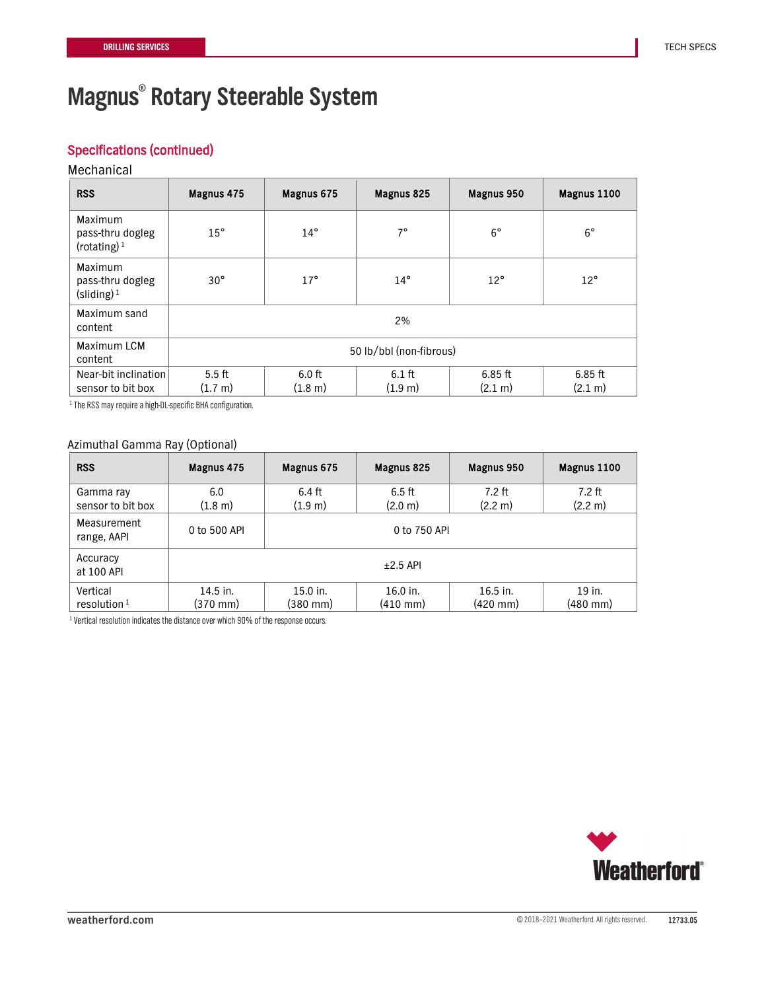## Specifications (continued)

#### Mechanical

| <b>RSS</b>                                                                | Magnus 475              | Magnus 675<br>Magnus 825 |                     | Magnus 950           | Magnus 1100          |  |
|---------------------------------------------------------------------------|-------------------------|--------------------------|---------------------|----------------------|----------------------|--|
| Maximum<br>pass-thru dogleg<br>(rotating) $1$                             | $15^{\circ}$            | $14^{\circ}$             | $7^{\circ}$         | $6^{\circ}$          | $6^{\circ}$          |  |
| Maximum<br>pass-thru dogleg<br>$\left(\text{sliding}\right)$ <sup>1</sup> | $30^\circ$              | $17^{\circ}$             | $14^{\circ}$        | $12^{\circ}$         | $12^{\circ}$         |  |
| Maximum sand<br>content                                                   | 2%                      |                          |                     |                      |                      |  |
| Maximum LCM<br>content                                                    | 50 lb/bbl (non-fibrous) |                          |                     |                      |                      |  |
| Near-bit inclination<br>sensor to bit box                                 | $5.5$ ft<br>(1.7 m)     | $6.0$ ft<br>(1.8 m)      | $6.1$ ft<br>(1.9 m) | $6.85$ ft<br>(2.1 m) | $6.85$ ft<br>(2.1 m) |  |

1 The RSS may require a high-DL-specific BHA configuration.

### Azimuthal Gamma Ray (Optional)

| <b>RSS</b>                     | Magnus 475                 | Magnus 675             | Magnus 825                       | Magnus 950             | Magnus 1100         |  |  |
|--------------------------------|----------------------------|------------------------|----------------------------------|------------------------|---------------------|--|--|
| Gamma ray<br>sensor to bit box | 6.0<br>$(1.8 \; \text{m})$ | 6.4 ft<br>(1.9 m)      | $6.5$ ft<br>(2.0 m)              | $7.2$ ft<br>(2.2 m)    | $7.2$ ft<br>(2.2 m) |  |  |
| Measurement<br>range, AAPI     | 0 to 500 API               | 0 to 750 API           |                                  |                        |                     |  |  |
| Accuracy<br>at 100 API         | $\pm 2.5$ API              |                        |                                  |                        |                     |  |  |
| Vertical<br>resolution $1$     | $14.5$ in.<br>(370 mm)     | $15.0$ in.<br>(380 mm) | $16.0$ in.<br>$(410 \text{ mm})$ | $16.5$ in.<br>(420 mm) | 19 in.<br>(480 mm)  |  |  |

<sup>1</sup> Vertical resolution indicates the distance over which 90% of the response occurs.